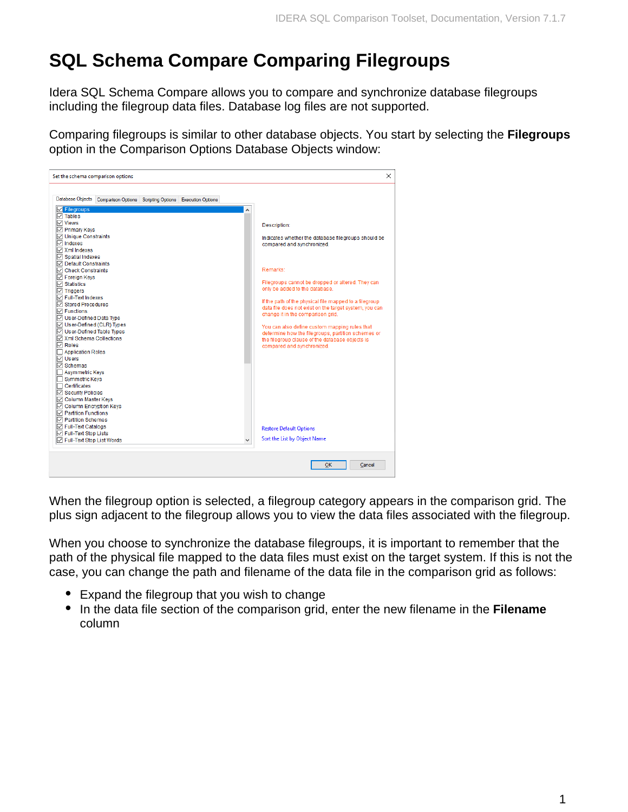## **SQL Schema Compare Comparing Filegroups**

Idera SQL Schema Compare allows you to compare and synchronize database filegroups including the filegroup data files. Database log files are not supported.

Comparing filegroups is similar to other database objects. You start by selecting the **Filegroups** option in the Comparison Options Database Objects window:



When the filegroup option is selected, a filegroup category appears in the comparison grid. The plus sign adjacent to the filegroup allows you to view the data files associated with the filegroup.

When you choose to synchronize the database filegroups, it is important to remember that the path of the physical file mapped to the data files must exist on the target system. If this is not the case, you can change the path and filename of the data file in the comparison grid as follows:

- Expand the filegroup that you wish to change
- In the data file section of the comparison grid, enter the new filename in the **Filename** column